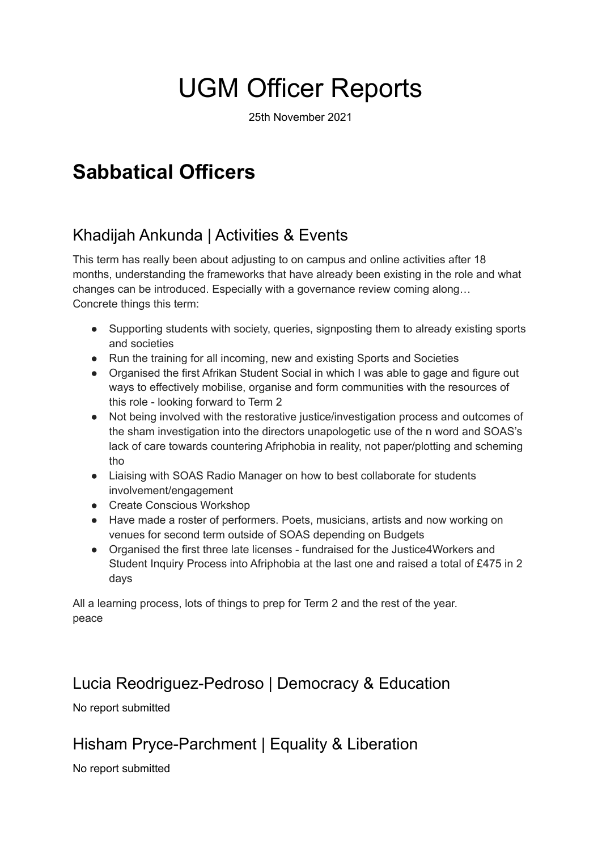# UGM Officer Reports

25th November 2021

# **Sabbatical Officers**

# Khadijah Ankunda | Activities & Events

This term has really been about adjusting to on campus and online activities after 18 months, understanding the frameworks that have already been existing in the role and what changes can be introduced. Especially with a governance review coming along… Concrete things this term:

- Supporting students with society, queries, signposting them to already existing sports and societies
- Run the training for all incoming, new and existing Sports and Societies
- Organised the first Afrikan Student Social in which I was able to gage and figure out ways to effectively mobilise, organise and form communities with the resources of this role - looking forward to Term 2
- Not being involved with the restorative justice/investigation process and outcomes of the sham investigation into the directors unapologetic use of the n word and SOAS's lack of care towards countering Afriphobia in reality, not paper/plotting and scheming tho
- Liaising with SOAS Radio Manager on how to best collaborate for students involvement/engagement
- Create Conscious Workshop
- Have made a roster of performers. Poets, musicians, artists and now working on venues for second term outside of SOAS depending on Budgets
- Organised the first three late licenses fundraised for the Justice4Workers and Student Inquiry Process into Afriphobia at the last one and raised a total of £475 in 2 days

All a learning process, lots of things to prep for Term 2 and the rest of the year. peace

## Lucia Reodriguez-Pedroso | Democracy & Education

No report submitted

## Hisham Pryce-Parchment | Equality & Liberation

No report submitted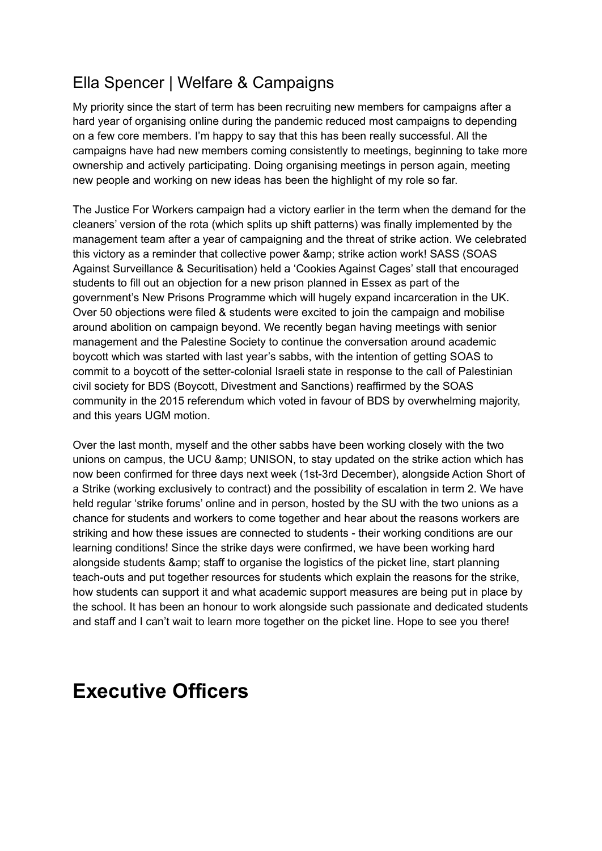# Ella Spencer | Welfare & Campaigns

My priority since the start of term has been recruiting new members for campaigns after a hard year of organising online during the pandemic reduced most campaigns to depending on a few core members. I'm happy to say that this has been really successful. All the campaigns have had new members coming consistently to meetings, beginning to take more ownership and actively participating. Doing organising meetings in person again, meeting new people and working on new ideas has been the highlight of my role so far.

The Justice For Workers campaign had a victory earlier in the term when the demand for the cleaners' version of the rota (which splits up shift patterns) was finally implemented by the management team after a year of campaigning and the threat of strike action. We celebrated this victory as a reminder that collective power & amp; strike action work! SASS (SOAS Against Surveillance & Securitisation) held a 'Cookies Against Cages' stall that encouraged students to fill out an objection for a new prison planned in Essex as part of the government's New Prisons Programme which will hugely expand incarceration in the UK. Over 50 objections were filed & students were excited to join the campaign and mobilise around abolition on campaign beyond. We recently began having meetings with senior management and the Palestine Society to continue the conversation around academic boycott which was started with last year's sabbs, with the intention of getting SOAS to commit to a boycott of the setter-colonial Israeli state in response to the call of Palestinian civil society for BDS (Boycott, Divestment and Sanctions) reaffirmed by the SOAS community in the 2015 referendum which voted in favour of BDS by overwhelming majority, and this years UGM motion.

Over the last month, myself and the other sabbs have been working closely with the two unions on campus, the UCU & amp; UNISON, to stay updated on the strike action which has now been confirmed for three days next week (1st-3rd December), alongside Action Short of a Strike (working exclusively to contract) and the possibility of escalation in term 2. We have held regular 'strike forums' online and in person, hosted by the SU with the two unions as a chance for students and workers to come together and hear about the reasons workers are striking and how these issues are connected to students - their working conditions are our learning conditions! Since the strike days were confirmed, we have been working hard alongside students & amp; staff to organise the logistics of the picket line, start planning teach-outs and put together resources for students which explain the reasons for the strike, how students can support it and what academic support measures are being put in place by the school. It has been an honour to work alongside such passionate and dedicated students and staff and I can't wait to learn more together on the picket line. Hope to see you there!

# **Executive Officers**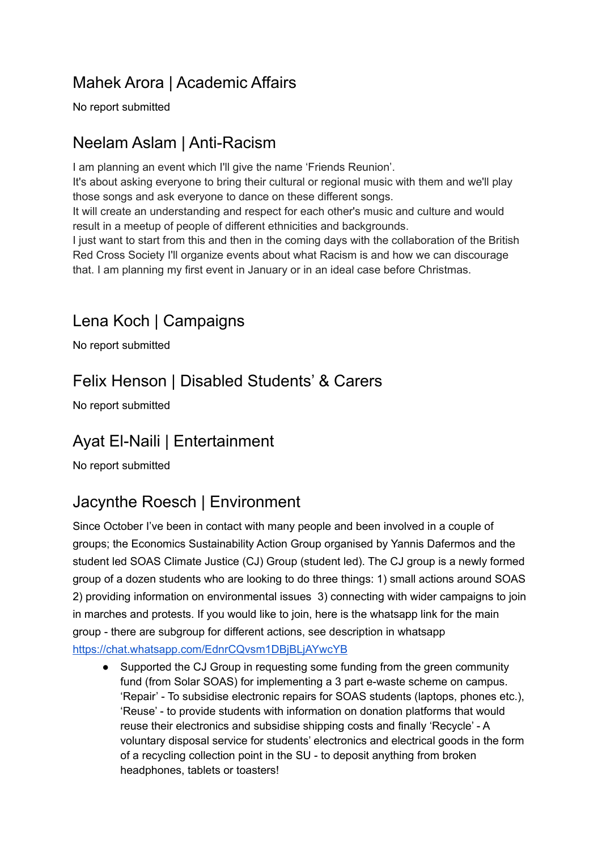# Mahek Arora | Academic Affairs

No report submitted

# Neelam Aslam | Anti-Racism

I am planning an event which I'll give the name 'Friends Reunion'.

It's about asking everyone to bring their cultural or regional music with them and we'll play those songs and ask everyone to dance on these different songs.

It will create an understanding and respect for each other's music and culture and would result in a meetup of people of different ethnicities and backgrounds.

I just want to start from this and then in the coming days with the collaboration of the British Red Cross Society I'll organize events about what Racism is and how we can discourage that. I am planning my first event in January or in an ideal case before Christmas.

#### Lena Koch | Campaigns

No report submitted

# Felix Henson | Disabled Students' & Carers

No report submitted

## Ayat El-Naili | Entertainment

No report submitted

# Jacynthe Roesch | Environment

Since October I've been in contact with many people and been involved in a couple of groups; the Economics Sustainability Action Group organised by Yannis Dafermos and the student led SOAS Climate Justice (CJ) Group (student led). The CJ group is a newly formed group of a dozen students who are looking to do three things: 1) small actions around SOAS 2) providing information on environmental issues 3) connecting with wider campaigns to join in marches and protests. If you would like to join, here is the whatsapp link for the main group - there are subgroup for different actions, see description in whatsapp <https://chat.whatsapp.com/EdnrCQvsm1DBjBLjAYwcYB>

Supported the CJ Group in requesting some funding from the green community fund (from Solar SOAS) for implementing a 3 part e-waste scheme on campus. 'Repair' - To subsidise electronic repairs for SOAS students (laptops, phones etc.), 'Reuse' - to provide students with information on donation platforms that would reuse their electronics and subsidise shipping costs and finally 'Recycle' - A voluntary disposal service for students' electronics and electrical goods in the form of a recycling collection point in the SU - to deposit anything from broken headphones, tablets or toasters!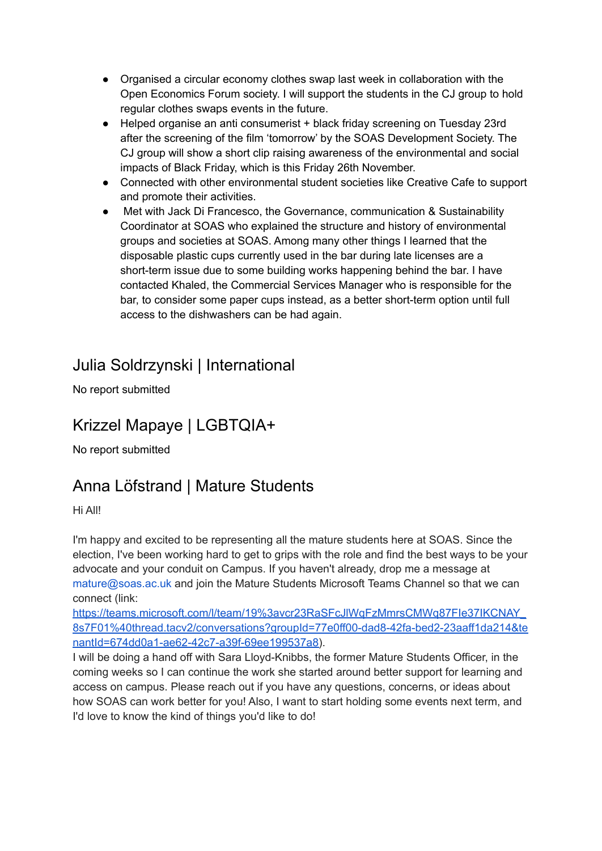- Organised a circular economy clothes swap last week in collaboration with the Open Economics Forum society. I will support the students in the CJ group to hold regular clothes swaps events in the future.
- Helped organise an anti consumerist + black friday screening on Tuesday 23rd after the screening of the film 'tomorrow' by the SOAS Development Society. The CJ group will show a short clip raising awareness of the environmental and social impacts of Black Friday, which is this Friday 26th November.
- Connected with other environmental student societies like Creative Cafe to support and promote their activities.
- Met with Jack Di Francesco, the Governance, communication & Sustainability Coordinator at SOAS who explained the structure and history of environmental groups and societies at SOAS. Among many other things I learned that the disposable plastic cups currently used in the bar during late licenses are a short-term issue due to some building works happening behind the bar. I have contacted Khaled, the Commercial Services Manager who is responsible for the bar, to consider some paper cups instead, as a better short-term option until full access to the dishwashers can be had again.

#### Julia Soldrzynski | International

No report submitted

# Krizzel Mapaye | LGBTQIA+

No report submitted

# Anna Löfstrand | Mature Students

Hi All!

I'm happy and excited to be representing all the mature students here at SOAS. Since the election, I've been working hard to get to grips with the role and find the best ways to be your advocate and your conduit on Campus. If you haven't already, drop me a message at mature@soas.ac.uk and join the Mature Students Microsoft Teams Channel so that we can connect (link:

[https://teams.microsoft.com/l/team/19%3avcr23RaSFcJlWqFzMmrsCMWq87FIe37IKCNAY\\_](https://teams.microsoft.com/l/team/19%3avcr23RaSFcJlWqFzMmrsCMWq87FIe37IKCNAY_8s7F01%40thread.tacv2/conversations?groupId=77e0ff00-dad8-42fa-bed2-23aaff1da214&tenantId=674dd0a1-ae62-42c7-a39f-69ee199537a8) [8s7F01%40thread.tacv2/conversations?groupId=77e0ff00-dad8-42fa-bed2-23aaff1da214&te](https://teams.microsoft.com/l/team/19%3avcr23RaSFcJlWqFzMmrsCMWq87FIe37IKCNAY_8s7F01%40thread.tacv2/conversations?groupId=77e0ff00-dad8-42fa-bed2-23aaff1da214&tenantId=674dd0a1-ae62-42c7-a39f-69ee199537a8) [nantId=674dd0a1-ae62-42c7-a39f-69ee199537a8\)](https://teams.microsoft.com/l/team/19%3avcr23RaSFcJlWqFzMmrsCMWq87FIe37IKCNAY_8s7F01%40thread.tacv2/conversations?groupId=77e0ff00-dad8-42fa-bed2-23aaff1da214&tenantId=674dd0a1-ae62-42c7-a39f-69ee199537a8).

I will be doing a hand off with Sara Lloyd-Knibbs, the former Mature Students Officer, in the coming weeks so I can continue the work she started around better support for learning and access on campus. Please reach out if you have any questions, concerns, or ideas about how SOAS can work better for you! Also, I want to start holding some events next term, and I'd love to know the kind of things you'd like to do!